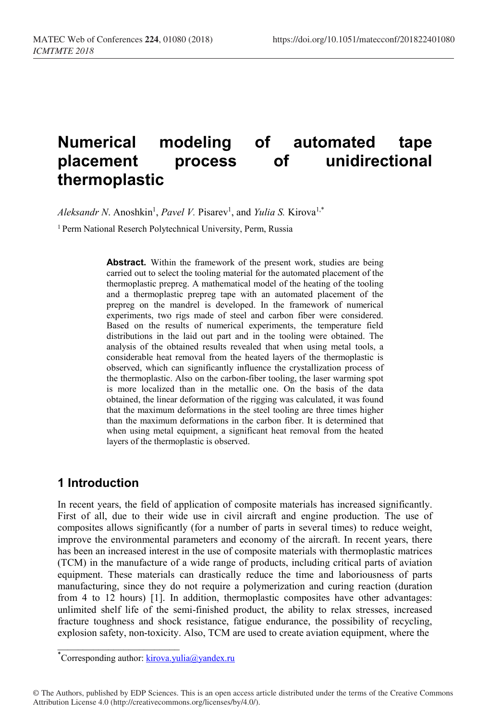# **Numerical modeling of automated tape placement process of unidirectional thermoplastic**

 $A$ *leksandr N*. Anoshkin<sup>1</sup>, *Pavel V*. Pisarev<sup>1</sup>, and *Yulia S.* Kirova<sup>1,\*</sup>

<sup>1</sup> Perm National Reserch Polytechnical University, Perm, Russia

**Abstract.** Within the framework of the present work, studies are being carried out to select the tooling material for the automated placement of the thermoplastic prepreg. A mathematical model of the heating of the tooling and a thermoplastic prepreg tape with an automated placement of the prepreg on the mandrel is developed. In the framework of numerical experiments, two rigs made of steel and carbon fiber were considered. Based on the results of numerical experiments, the temperature field distributions in the laid out part and in the tooling were obtained. The analysis of the obtained results revealed that when using metal tools, a considerable heat removal from the heated layers of the thermoplastic is observed, which can significantly influence the crystallization process of the thermoplastic. Also on the carbon-fiber tooling, the laser warming spot is more localized than in the metallic one. On the basis of the data obtained, the linear deformation of the rigging was calculated, it was found that the maximum deformations in the steel tooling are three times higher than the maximum deformations in the carbon fiber. It is determined that when using metal equipment, a significant heat removal from the heated layers of the thermoplastic is observed.

#### **1 Introduction**

In recent years, the field of application of composite materials has increased significantly. First of all, due to their wide use in civil aircraft and engine production. The use of composites allows significantly (for a number of parts in several times) to reduce weight, improve the environmental parameters and economy of the aircraft. In recent years, there has been an increased interest in the use of composite materials with thermoplastic matrices (TCM) in the manufacture of a wide range of products, including critical parts of aviation equipment. These materials can drastically reduce the time and laboriousness of parts manufacturing, since they do not require a polymerization and curing reaction (duration from 4 to 12 hours) [1]. In addition, thermoplastic composites have other advantages: unlimited shelf life of the semi-finished product, the ability to relax stresses, increased fracture toughness and shock resistance, fatigue endurance, the possibility of recycling, explosion safety, non-toxicity. Also, TCM are used to create aviation equipment, where the

 $\mathcal{L}_\text{max}$  , where  $\mathcal{L}_\text{max}$  and  $\mathcal{L}_\text{max}$ 

<sup>\*</sup>Corresponding author: **kirova.yulia@yandex.ru**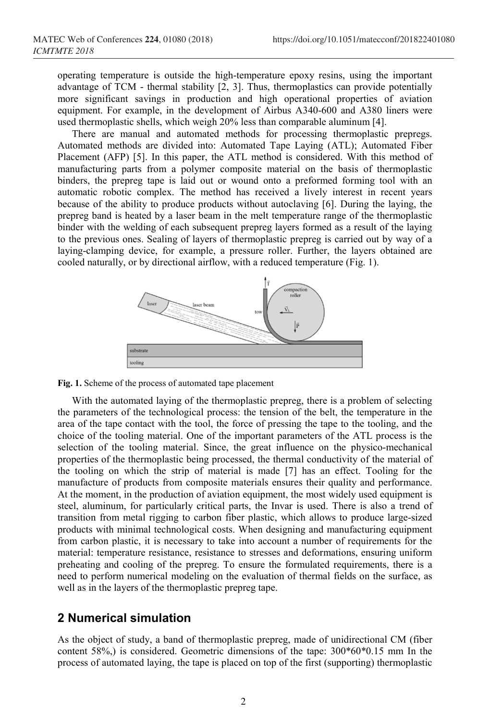operating temperature is outside the high-temperature epoxy resins, using the important advantage of TCM - thermal stability [2, 3]. Thus, thermoplastics can provide potentially more significant savings in production and high operational properties of aviation equipment. For example, in the development of Airbus A340-600 and A380 liners were used thermoplastic shells, which weigh 20% less than comparable aluminum [4].

There are manual and automated methods for processing thermoplastic prepregs. Automated methods are divided into: Automated Tape Laying (ATL); Automated Fiber Placement (AFP) [5]. In this paper, the ATL method is considered. With this method of manufacturing parts from a polymer composite material on the basis of thermoplastic binders, the prepreg tape is laid out or wound onto a preformed forming tool with an automatic robotic complex. The method has received a lively interest in recent years because of the ability to produce products without autoclaving [6]. During the laying, the prepreg band is heated by a laser beam in the melt temperature range of the thermoplastic binder with the welding of each subsequent prepreg layers formed as a result of the laying to the previous ones. Sealing of layers of thermoplastic prepreg is carried out by way of a laying-clamping device, for example, a pressure roller. Further, the layers obtained are cooled naturally, or by directional airflow, with a reduced temperature (Fig. 1).



**Fig. 1.** Scheme of the process of automated tape placement

With the automated laying of the thermoplastic prepreg, there is a problem of selecting the parameters of the technological process: the tension of the belt, the temperature in the area of the tape contact with the tool, the force of pressing the tape to the tooling, and the choice of the tooling material. One of the important parameters of the ATL process is the selection of the tooling material. Since, the great influence on the physico-mechanical properties of the thermoplastic being processed, the thermal conductivity of the material of the tooling on which the strip of material is made [7] has an effect. Tooling for the manufacture of products from composite materials ensures their quality and performance. At the moment, in the production of aviation equipment, the most widely used equipment is steel, aluminum, for particularly critical parts, the Invar is used. There is also a trend of transition from metal rigging to carbon fiber plastic, which allows to produce large-sized products with minimal technological costs. When designing and manufacturing equipment from carbon plastic, it is necessary to take into account a number of requirements for the material: temperature resistance, resistance to stresses and deformations, ensuring uniform preheating and cooling of the prepreg. To ensure the formulated requirements, there is a need to perform numerical modeling on the evaluation of thermal fields on the surface, as well as in the layers of the thermoplastic prepreg tape.

### **2 Numerical simulation**

As the object of study, a band of thermoplastic prepreg, made of unidirectional CM (fiber content 58%,) is considered. Geometric dimensions of the tape: 300\*60\*0.15 mm In the process of automated laying, the tape is placed on top of the first (supporting) thermoplastic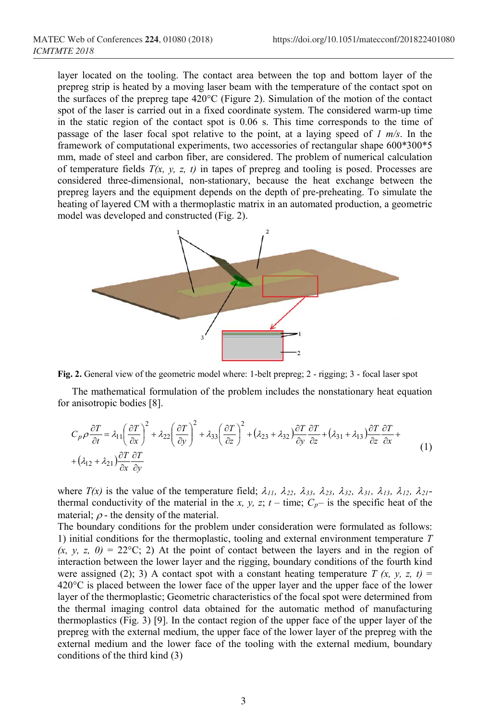layer located on the tooling. The contact area between the top and bottom layer of the prepreg strip is heated by a moving laser beam with the temperature of the contact spot on the surfaces of the prepreg tape 420°C (Figure 2). Simulation of the motion of the contact spot of the laser is carried out in a fixed coordinate system. The considered warm-up time in the static region of the contact spot is 0.06 s. This time corresponds to the time of passage of the laser focal spot relative to the point, at a laying speed of *1 m/s*. In the framework of computational experiments, two accessories of rectangular shape 600\*300\*5 mm, made of steel and carbon fiber, are considered. The problem of numerical calculation of temperature fields  $T(x, y, z, t)$  in tapes of prepreg and tooling is posed. Processes are considered three-dimensional, non-stationary, because the heat exchange between the prepreg layers and the equipment depends on the depth of pre-preheating. To simulate the heating of layered CM with a thermoplastic matrix in an automated production, a geometric model was developed and constructed (Fig. 2).





The mathematical formulation of the problem includes the nonstationary heat equation for anisotropic bodies [8].

$$
C_p \rho \frac{\partial T}{\partial t} = \lambda_{11} \left(\frac{\partial T}{\partial x}\right)^2 + \lambda_{22} \left(\frac{\partial T}{\partial y}\right)^2 + \lambda_{33} \left(\frac{\partial T}{\partial z}\right)^2 + (\lambda_{23} + \lambda_{32}) \frac{\partial T}{\partial y} \frac{\partial T}{\partial z} + (\lambda_{31} + \lambda_{13}) \frac{\partial T}{\partial z} \frac{\partial T}{\partial x} + + (\lambda_{12} + \lambda_{21}) \frac{\partial T}{\partial x} \frac{\partial T}{\partial y}
$$
 (1)

where  $T(x)$  is the value of the temperature field;  $\lambda_{11}$ ,  $\lambda_{22}$ ,  $\lambda_{33}$ ,  $\lambda_{23}$ ,  $\lambda_{32}$ ,  $\lambda_{31}$ ,  $\lambda_{13}$ ,  $\lambda_{12}$ ,  $\lambda_{21}$ thermal conductivity of the material in the *x*, *y*, *z*;  $t$  – time;  $C_p$ – is the specific heat of the material;  $\rho$  - the density of the material.

The boundary conditions for the problem under consideration were formulated as follows: 1) initial conditions for the thermoplastic, tooling and external environment temperature *T*   $(x, y, z, 0) = 22$ °C; 2) At the point of contact between the layers and in the region of interaction between the lower layer and the rigging, boundary conditions of the fourth kind were assigned (2); 3) A contact spot with a constant heating temperature  $T(x, y, z, t) =$ 420°C is placed between the lower face of the upper layer and the upper face of the lower layer of the thermoplastic; Geometric characteristics of the focal spot were determined from the thermal imaging control data obtained for the automatic method of manufacturing thermoplastics (Fig. 3) [9]. In the contact region of the upper face of the upper layer of the prepreg with the external medium, the upper face of the lower layer of the prepreg with the external medium and the lower face of the tooling with the external medium, boundary conditions of the third kind (3)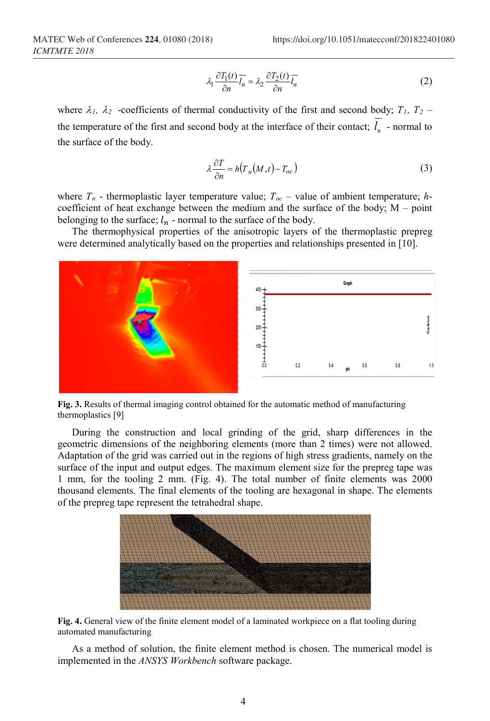$$
\lambda_1 \frac{\partial T_1(t)}{\partial n} \overline{l}_n = \lambda_2 \frac{\partial T_2(t)}{\partial n} \overline{l}_n \tag{2}
$$

where  $\lambda_1$ ,  $\lambda_2$  -coefficients of thermal conductivity of the first and second body;  $T_1$ ,  $T_2$  – the temperature of the first and second body at the interface of their contact;  $l_n$  - normal to the surface of the body.

$$
\lambda \frac{\partial T}{\partial n} = h \big( T_n \big( M, t \big) - T_{oc} \big) \tag{3}
$$

where  $T_n$  - thermoplastic layer temperature value;  $T_{oc}$  – value of ambient temperature; *h*coefficient of heat exchange between the medium and the surface of the body; M – point belonging to the surface;  $l_n$  - normal to the surface of the body.

The thermophysical properties of the anisotropic layers of the thermoplastic prepreg were determined analytically based on the properties and relationships presented in [10].



**Fig. 3.** Results of thermal imaging control obtained for the automatic method of manufacturing thermoplastics [9]

During the construction and local grinding of the grid, sharp differences in the geometric dimensions of the neighboring elements (more than 2 times) were not allowed. Adaptation of the grid was carried out in the regions of high stress gradients, namely on the surface of the input and output edges. The maximum element size for the prepreg tape was 1 mm, for the tooling 2 mm. (Fig. 4). The total number of finite elements was 2000 thousand elements. The final elements of the tooling are hexagonal in shape. The elements of the prepreg tape represent the tetrahedral shape.



**Fig. 4.** General view of the finite element model of a laminated workpiece on a flat tooling during automated manufacturing

As a method of solution, the finite element method is chosen. The numerical model is implemented in the *ANSYS Workbench* software package.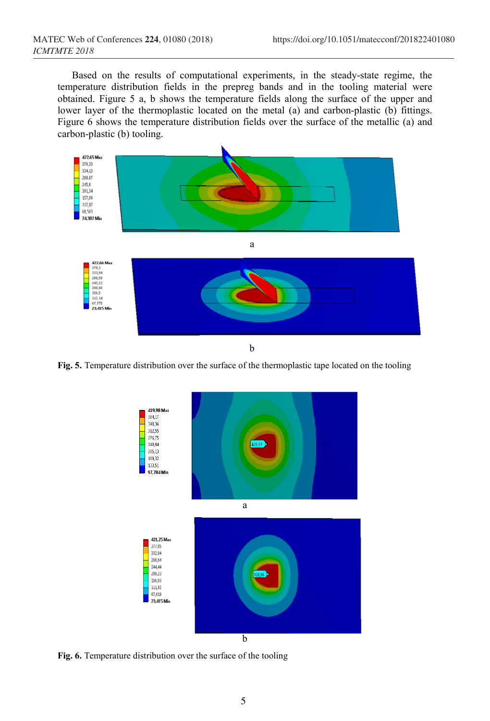Based on the results of computational experiments, in the steady-state regime, the temperature distribution fields in the prepreg bands and in the tooling material were obtained. Figure 5 a, b shows the temperature fields along the surface of the upper and lower layer of the thermoplastic located on the metal (a) and carbon-plastic (b) fittings. Figure 6 shows the temperature distribution fields over the surface of the metallic (a) and carbon-plastic (b) tooling.



**Fig. 5.** Temperature distribution over the surface of the thermoplastic tape located on the tooling



**Fig. 6.** Temperature distribution over the surface of the tooling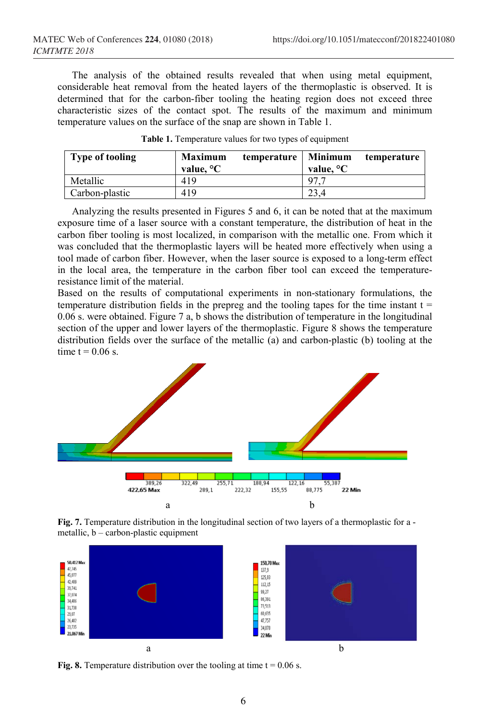The analysis of the obtained results revealed that when using metal equipment, considerable heat removal from the heated layers of the thermoplastic is observed. It is determined that for the carbon-fiber tooling the heating region does not exceed three characteristic sizes of the contact spot. The results of the maximum and minimum temperature values on the surface of the snap are shown in Table 1.

| <b>Type of tooling</b> | <b>Maximum</b><br>temperature<br>value, <sup>o</sup> C | Minimum<br>temperature<br>value. $\mathrm{C}$ |
|------------------------|--------------------------------------------------------|-----------------------------------------------|
| Metallic               | 419                                                    | 97.7                                          |
| Carbon-plastic         | 419                                                    | 23.4                                          |

| Table 1. Temperature values for two types of equipment |  |  |
|--------------------------------------------------------|--|--|
|--------------------------------------------------------|--|--|

Analyzing the results presented in Figures 5 and 6, it can be noted that at the maximum exposure time of a laser source with a constant temperature, the distribution of heat in the carbon fiber tooling is most localized, in comparison with the metallic one. From which it was concluded that the thermoplastic layers will be heated more effectively when using a tool made of carbon fiber. However, when the laser source is exposed to a long-term effect in the local area, the temperature in the carbon fiber tool can exceed the temperatureresistance limit of the material.

Based on the results of computational experiments in non-stationary formulations, the temperature distribution fields in the prepreg and the tooling tapes for the time instant  $t =$ 0.06 s. were obtained. Figure 7 a, b shows the distribution of temperature in the longitudinal section of the upper and lower layers of the thermoplastic. Figure 8 shows the temperature distribution fields over the surface of the metallic (a) and carbon-plastic (b) tooling at the time  $t = 0.06$  s.



**Fig. 7.** Temperature distribution in the longitudinal section of two layers of a thermoplastic for a metallic, b – carbon-plastic equipment



**Fig. 8.** Temperature distribution over the tooling at time  $t = 0.06$  s.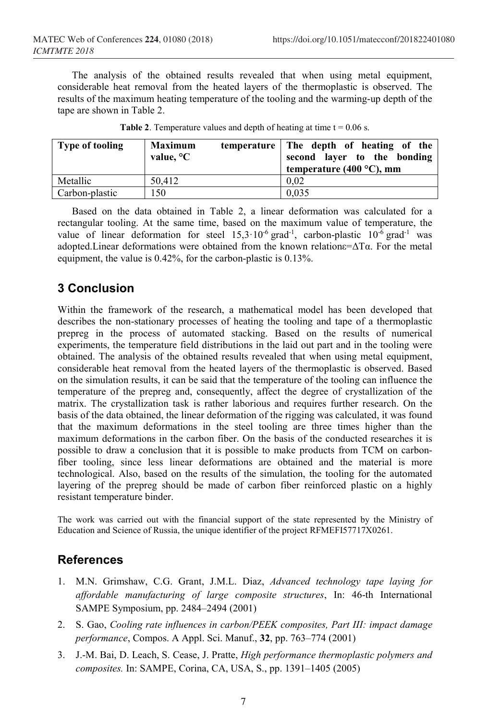The analysis of the obtained results revealed that when using metal equipment, considerable heat removal from the heated layers of the thermoplastic is observed. The results of the maximum heating temperature of the tooling and the warming-up depth of the tape are shown in Table 2.

| <b>Type of tooling</b> | <b>Maximum</b><br>value, $\mathrm{C}$ | temperature The depth of heating of the<br>second layer to the bonding<br>temperature (400 $^{\circ}$ C), mm |
|------------------------|---------------------------------------|--------------------------------------------------------------------------------------------------------------|
| Metallic               | 50.412                                | 0.02                                                                                                         |
| Carbon-plastic         | 150                                   | 0,035                                                                                                        |

Based on the data obtained in Table 2, a linear deformation was calculated for a rectangular tooling. At the same time, based on the maximum value of temperature, the value of linear deformation for steel  $15,3.10^{-6}$  grad<sup>-1</sup>, carbon-plastic  $10^{-6}$  grad<sup>-1</sup> was adopted.Linear deformations were obtained from the known relationε=ΔTα. For the metal equipment, the value is 0.42%, for the carbon-plastic is 0.13%.

## **3 Conclusion**

Within the framework of the research, a mathematical model has been developed that describes the non-stationary processes of heating the tooling and tape of a thermoplastic prepreg in the process of automated stacking. Based on the results of numerical experiments, the temperature field distributions in the laid out part and in the tooling were obtained. The analysis of the obtained results revealed that when using metal equipment, considerable heat removal from the heated layers of the thermoplastic is observed. Based on the simulation results, it can be said that the temperature of the tooling can influence the temperature of the prepreg and, consequently, affect the degree of crystallization of the matrix. The crystallization task is rather laborious and requires further research. On the basis of the data obtained, the linear deformation of the rigging was calculated, it was found that the maximum deformations in the steel tooling are three times higher than the maximum deformations in the carbon fiber. On the basis of the conducted researches it is possible to draw a conclusion that it is possible to make products from TCM on carbonfiber tooling, since less linear deformations are obtained and the material is more technological. Also, based on the results of the simulation, the tooling for the automated layering of the prepreg should be made of carbon fiber reinforced plastic on a highly resistant temperature binder.

The work was carried out with the financial support of the state represented by the Ministry of Education and Science of Russia, the unique identifier of the project RFMEFI57717X0261.

### **References**

- 1. M.N. Grimshaw, C.G. Grant, J.M.L. Diaz, *Advanced technology tape laying for affordable manufacturing of large composite structures*, In: 46-th International SAMPE Symposium, pp. 2484–2494 (2001)
- 2. S. Gao, *Cooling rate influences in carbon/PEEK composites, Part III: impact damage performance*, Compos. A Appl. Sci. Manuf., **32**, pp. 763–774 (2001)
- 3. J.-M. Bai, D. Leach, S. Cease, J. Pratte, *High performance thermoplastic polymers and composites.* In: SAMPE, Corina, CA, USA, S., pp. 1391–1405 (2005)